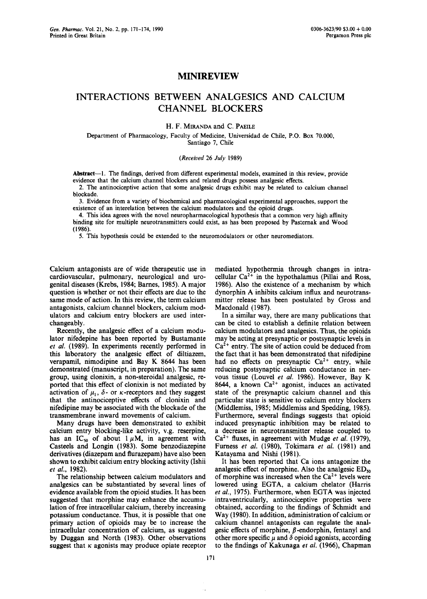## **MINIREVIEW**

## **INTERACTIONS BETWEEN ANALGESICS AND CALCIUM CHANNEL BLOCKERS**

H. F. MIRANDA and C. PAEILE

Department of Pharmacology, Faculty of Medicine, Universidad de Chile, P.O. Box 70.000, Santiago 7, Chile

## *(Received* 26 *July* 1989)

Abstract--1. The findings, derived from different experimental models, examined in this review, provide evidence that the calcium channel blockers and related drugs possess analgesic effects.

2. The antinociceptive action that some analgesic drugs exhibit may be related to calcium channel blockade.

3. Evidence from a variety of biochemical and pharmacological experimental approaches, support the existence of an interelation between the calcium modulators and the opioid drugs.

4. This idea agrees with the novel neuropharmacological hypothesis that a common very high affinity binding site for multiple neurotransmitters could exist, as has been proposed by Pasternak and Wood (1986).

5. This hypothesis could be extended to the neuromodulators or other neuromediators.

Calcium antagonists are of wide therapeutic use in cardiovascular, pulmonary, neurological and urogenital diseases (Krebs, 1984; Barnes, 1985). A major question is whether or not their effects are due to the same mode of action. In this review, the term calcium antagonists, calcium channel blockers, calcium modulators and calcium entry blockers are used interchangeably.

Recently, the analgesic effect of a calcium modulator nifedepine has been reported by Bustamante *et al.* (1989). In experiments recently performed in this laboratory the analgesic effect of diltiazem, verapamil, nimodipine and Bay K 8644 has been demonstrated (manuscript, in preparation). The same group, using clonixin, a non-steroidal analgesic, reported that this effect of clonixin is not mediated by activation of  $\mu_1$ ,  $\delta$ - or  $\kappa$ -receptors and they suggest that the antinociceptive effects of clonixin and nifedipine may be associated with the blockade of the transmembrane inward movements of calcium.

Many drugs have been demonstrated to exhibit calcium entry blocking-like activity, v.g. reserpine, has an IC<sub>50</sub> of about  $1 \mu M$ , in agreement with Casteels and Longin (1983). Some benzodiazepine derivatives (diazepam and flurazepam) have also been shown to exhibit calcium entry blocking activity (Ishii *et aL,* 1982).

The relationship between calcium modulators and analgesics can be substantiated by several lines of evidence available from the opioid studies. It has been suggested that morphine may enhance the accumulation of free intracellular calcium, thereby increasing potassium conductance. Thus, it is possible that one primary action of opioids may be to increase the intracellular concentration of calcium, as suggested by Duggan and North (1983). Other observations suggest that  $\kappa$  agonists may produce opiate receptor mediated hypothermia through changes in intracellular  $Ca^{2+}$  in the hypothalamus (Pillai and Ross, 1986). Also the existence of a mechanism by which dynorphin A inhibits calcium influx and neurotransmitter release has been postulated by Gross and Macdonald (1987).

In a similar way, there are many publications that can be cited to establish a definite relation between calcium modulators and analgesics. Thus, the opioids may be acting at presynaptic or postsynaptic levels in  $Ca<sup>2+</sup>$  entry. The site of action could be deduced from the fact that it has been demonstrated that nifedipine had no effects on presynaptic  $Ca^{2+}$  entry, while reducing postsynaptic calcium conductance in nervous tissue (Louvel *et al.* 1986). However, Bay K 8644, a known  $Ca^{2+}$  agonist, induces an activated state of the presynaptic calcium channel and this particular state is sensitive to calcium entry blockers (Middlemiss, 1985; Middlemiss and Spedding, 1985). Furthermore, several findings suggests that opioid induced presynaptic inhibition may be related to a decrease in neurotransmitter release coupled to  $Ca^{2+}$  fluxes, in agreement with Mudge *et al.* (1979), Furness *et al.* (1980), Tokimara *et al.* (1981) and Katayama and Nishi (1981).

It has been reported that Ca ions antagonize the analgesic effect of morphine. Also the analgesic  $ED_{50}$ of morphine was increased when the  $Ca<sup>2+</sup>$  levels were lowered using EGTA, a calcium chelator (Harris *et al.,* 1975). Furthermore, when EGTA was injected intraventricularly, antinociceptive properties were obtained, according to the findings of Schmidt and Way (1980). In addition, administration of calcium or calcium channel antagonists can regulate the analgesic effects of morphine,  $\beta$ -endorphin, fentanyl and other more specific  $\mu$  and  $\delta$  opioid agonists, according to the findings of Kakunaga *et al.* (1966), Chapman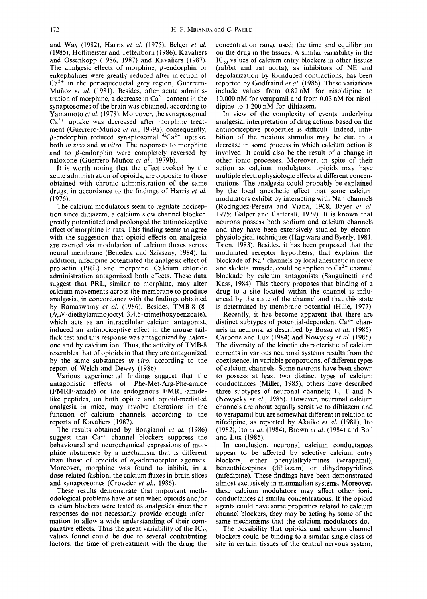and Way (1982), Harris *et al.* (1975), Belger *et al.*  (1985), Hoffmeister and Tettenborn (1986), Kavaliers and Ossenkopp (1986, 1987) and Kavaliers (1987). The analgesic effects of morphine,  $\beta$ -endorphin or enkephalines were greatly reduced after injection of  $Ca<sup>2+</sup>$  in the periaqueductal grey region, Guerrero-Mufioz *et al.* (1981). Besides, after acute administration of morphine, a decrease in  $Ca^{2+}$  content in the synaptosomes of the brain was obtained, according to Yamamoto *et al.* (1978). Moreover, the synaptosomal  $Ca<sup>2+</sup>$  uptake was decreased after morphine treatment (Guerrero-Mufioz *et al.,* 1979a), consequently,  $\beta$ -endorphin reduced synaptosomal 45Ca<sup>2+</sup> uptake, both *in vivo* and *in vitro.* The responses to morphine and to  $\beta$ -endorphin were completely reversed by naloxone (Guerrero-Mufioz *et al.,* 1979b).

It is worth noting that the effect evoked by the acute administration of opioids, are opposite to those obtained with chronic administration of the same drugs, in accordance to the findings of Harris *et al.*  (1976).

The calcium modulators seem to regulate nociception since diltiazem, a calcium slow channel blocker, greatly potentiated and prolonged the antinociceptive effect of morphine in rats. This finding seems to agree with the suggestion that opioid effects on analgesia are exerted via modulation of calcium fluxes across neural membrane (Benedek and Szikszay, 1984), In addition, nifedipine potentiated the analgesic effect of prolactin (PRL) and morphine. Calcium chloride administration antagonized both effects. These data suggest that PRL, similar to morphine, may alter calcium movements across the membrane to produce analgesia, in concordance with the findings obtained by Ramaswamy *et al.* (1986). Besides, TMB-8 (8-  $(N, N$ -diethylamino) $octyl$ -3,4,5-trimethoxybenzoate), which acts as an intracellular calcium antagonist, induced an antinociceptive effect in the mouse tailflick test and this response was antagonized by naloxone and by calcium ion. Thus, the activity of TMB-8 resembles that of opioids in that they are antagonized by the same substances *in vivo,* according to the report of Welch and Dewey (1986).

Various experimental findings suggest that the antagonistic effects of Phe-Met-Arg-Phe-amide (FMRF-amide) or the endogenous FMRF-amidelike peptides, on both opiate and opioid-mediated analgesia in mice, may involve alterations in the function of calcium channels, according to the reports of Kavaliers (1987).

The results obtained by Bongianni *et al.* (1986) suggest that  $Ca^{2+}$  channel blockers suppress the behavioural and neurochemical expressions of morphine abstinence by a mechanism that is different than those of opioids of  $\alpha_2$ -adrenoceptor agonists. Moreover, morphine was found to inhibit, in a dose-related fashion, the calcium fluxes in brain slices and synaptosomes (Crowder *et al.,* 1986).

These results demonstrate that important methodological problems have arisen when opioids and/or calcium blockers were tested as analgesics since their responses do not necessarily provide enough information to allow a wide understanding of their comparative effects. Thus the great variability of the  $IC_{50}$ values found could be due to several contributing factors: the time of pretreatment with the drug; the concentration range used; the time and equilibrium on the drug in the tissues. A similar variability in the  $IC_{\text{so}}$  values of calcium entry blockers in other tissues (rabbit and rat aorta), as inhibitors of NE and depolarization by K-induced contractions, has been reported by Godfraind *et al.* (1986). These variations include values from 0.82nM for nisoldipine to 10.000 nM for verapamil and from 0.03 nM for nisoldipine to 1.200 nM for diltiazem.

In view of the complexity of events underlying analgesia, interpretation of drug actions based on the antinociceptive properties is difficult. Indeed, inhibition of the noxious stimulus may be due to a decrease in some process in which calcium action is involved. It could also be the result of a change in other ionic processes. Moreover, in spite of their action as calcium modulators, opioids may have multiple electrophysiologic effects at different concentrations. The analgesia could probably be explained by the local anesthetic effect that some calcium modulators exhibit by interacting with Na<sup>+</sup> channels (Rodriguez-Pereira and Viana, 1968; Bayer *et al.*  1975; Galper and Catterall, 1979). It is known that neurons possess both sodium and calcium channels and they have been extensively studied by electrophysiological techniques (Hagiwara and Byerly, 1981; Tsien, 1983). Besides, it has been proposed that the modulated receptor hypothesis, that explains the blockade of Na + channels by local anesthetic in nerve and skeletal muscle, could be applied to  $Ca^{2+}$  channel blockade by calcium antagonists (Sanguinetti and Kass, 1984). This theory proposes that binding of a drug to a site located within the channel is influenced by the state of the channel and that this state is determined by membrane potential (Hille, 1977).

Recently, it has become apparent that there are distinct subtypes of potential-dependent  $Ca^{2+}$  channels in neurons, as described by Bossu *et al.* (1985), Carbone and Lux (1984) and Nowycky *et al.* (1985). The diversity of the kinetic characteristic of calcium currents in various neuronal systems results from the coexistence, in variable proportions, of different types of calcium channels. Some neurons have been shown to possess at least two distinct types of calcium conductances (Miller, 1985), others have described three subtypes of neuronal channels; L, T and N (Nowycky *et al.,* 1985). However, neuronal calcium channels are about equally sensitive to diltiazem and to verapamil but are somewhat different in relation to nifedipine, as reported by Akaike *et al.* (1981), Ito (1982), Ito *et al.* (1984), Brown *et al.* (1984) and Boil and Lux (1985).

In conclusion, neuronal calcium conductances appear to be affected by selective calcium entry blockers, either phenylalkylamines (verapamil), benzothiazepines (diltiazem) or dihydropyridines (nifedipine). These findings have been demonstrated almost exclusively in mammalian systems. Moreover, these calcium modulators may affect other ionic conductances at similar concentrations. If the opioid agents could have some properties related to calcium channel blockers, they may be acting by some of the same mechanisms that the calcium modulators do.

The possibility that opioids and calcium channel blockers could be binding to a similar single class of site in certain tissues of the central nervous system,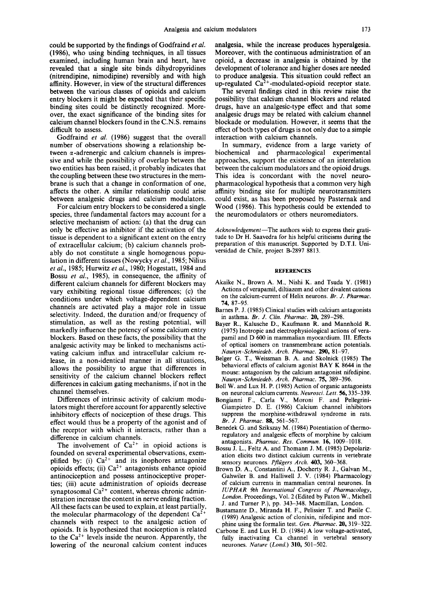could be supported by the findings of Godfraind *et al.*  (1986), who using binding techniques, in all tissues examined, including human brain and heart, have revealed that a single site binds dihydropyridines (nitrendipine, nimodipine) reversibly and with high affinity. However, in view of the structural differences between the various classes of opioids and calcium entry blockers it might be expected that their specific binding sites could be distinctly recognized. Moreover, the exact significance of the binding sites for calcium channel blockers found in the C.N.S. remains difficult to assess.

Godfraind *et al.* (1986) suggest that the overall number of observations showing a relationship between  $\alpha$ -adrenergic and calcium channels is impressive and while the possibility of overlap between the two entities has been raised, it probably indicates that the coupling between these two structures in the membrane is such that a change in conformation of one, affects the other. A similar relationship could arise between analgesic drugs and calcium modulators.

For calcium entry blockers to be considered a single species, three fundamental factors may account for a selective mechanism of action: (a) that the drug can only be effective as inhibitor if the activation of the tissue is dependent to a significant extent on the entry of extracellular calcium; (b) calcium channels probably do not constitute a single homogenous population in different tissues (Nowycky *et al.,* 1985; Nilius *et al.,* 1985; Hurwitz *et al.,* 1980; Hogestatt, 1984 and Bossu *et al.,* 1985), in consequence, the affinity of different calcium channels for different blockers may vary exhibiting regional tissue differences; (c) the conditions under which voltage-dependent calcium channels are activated play a major role in tissue selectivity. Indeed, the duration and/or frequency of stimulation, as well as the resting potential, will markedly influence the potency of some calcium entry blockers. Based on these facts, the possibility that the analgesic activity may be linked to mechanisms activating calcium influx and intracellular calcium release, in a non-identical manner in all situations, allows the possibility to argue that differences in sensitivity of the calcium channel blockers reflect differences in calcium gating mechanisms, if not in the channel themselves.

Differences of intrinsic activity of calcium modulators might therefore account for apparently selective inhibitory effects of nociception of these drugs. This effect would thus be a property of the agonist and of the receptor with which it interacts, rather than a difference in calcium channels.

The involvement of  $Ca^{2+}$  in opioid actions is founded on several experimental observations, exemplified by: (i)  $Ca^{2+}$  and its inophores antagonize opioids effects; (ii)  $Ca^{2+}$  antagonists enhance opioid antinociception and possess antinociceptive properties; (iii) acute administration of opioids decrease synaptosomal  $Ca<sup>2+</sup>$  content, whereas chronic administration increase the content in nerve ending fraction. All these facts can be used to explain, at least partially, the molecular pharmacology of the dependent  $Ca^{2+}$ channels with respect to the analgesic action of opioids. It is hypothesized that nociception is related to the  $Ca^{2+}$  levels inside the neuron. Apparently, the lowering of the neuronal calcium content induces analgesia, while the increase produces hyperalgesia. Moreover, with the continuous administration of an opioid, a decrease in analgesia is obtained by the development of tolerance and higher doses are needed to produce analgesia. This situation could reflect an up-regulated  $Ca^{2+}$ -modulated-opioid receptor state.

The several findings cited in this review raise the possibility that calcium channel blockers and related drugs, have an analgesic-type effect and that some analgesic drugs may be related with calcium channel blockade or modulation. However, it seems that the effect of both types of drugs is not only due to a simple interaction with calcium channels.

In summary, evidence from a large variety of biochemical and pharmacological experimental approaches, support the existence of an interelation between the calcium modulators and the opioid drugs. This idea is concordant with the novel neuropharmacological hypothesis that a common very high affinity binding site for multiple neurotransmitters could exist, as has been proposed by Pasternak and Wood (1986). This hypothesis could be extended to the neuromodulators or others neuromediators.

*Acknowledgement--The* authors wish to express their gratitude to Dr H. Saavedra for his helpful criticisms during the preparation of this manuscript. Supported by D.T.I. Universidad de Chile, project B-2897 8813.

## **REFERENCES**

- Akaike N., Brown A. M., Nishi K. and Tsuda Y. (1981) Actions of verapamil, diltiazem and other divalent cations on the calcium-current of Helix neurons. *Br. J. Pharmac.*  74, 87-95.
- Barnes P. J. (1985) Clinical studies with calcium antagonists in asthma. *Br. J. Clin. Pharmac.* 20, 289-298.
- Bayer R., Kalusche D., Kaufmann R. and Mannhold R. (1975) Inotropic and electrophysiological actions of verapamil and D 600 in mammalian myocardium. III. Effects of optical isomers on transmembrane action potentials. *Naunyn-Schmiedeb. Arch. Pharmac.* 290, 81-97.
- Belger G. T., Weissman B. A. and Skolnick (1985) The behavioral effects of calcium agonist BAY K 8644 in the mouse: antagonism by the calcium antagonist nifedipine. *Naunyn-Schmiedeb. Arch. Pharmac.* 75, 389-396.
- Boll W. and Lux H. P. (1985) Action of organic antagonists on neuronal calcium currents. *Neurosci. Lett.* 56, 335-339.
- Bongianni F., Carla V., Moroni F. and Pellegrini-Giampietro D. E. (1986) Calcium channel inhibitors suppress the morphine-withdrawal syndrome in rats. *Br. J. Pharmac. 88,* 561-567.
- Benedek G. and Szikszay M. (1984) Potentiation of thermoregulatory and analgesic effects of morphine by calcium antagonists. *Pharmac. Res. Commun.* 16, 1009-1018.
- Bossu J. L., Feltz A. and Thomann J. M. (1985) Depolarization elicits two distinct calcium currents in vertebrate sensory neurones. *Pfliigers Arch.* 403, 360-368.
- Brown D. A., Constantini A., Docherty R. J., Galvan M., Gahwiler B. and Halliwell J. V. (1984) Pharmacology of calcium currents in mammalian central neurones. In *IUPHAR 9th International Congress of Pharmacology, London.* Proceedings, Vol. 2 (Edited by Paton W., Michell J. and Turner P.), pp. 343-348. Macmillan, London.
- Bustamante D., Miranda H. F., Pelissier T. and Paeile C. (1989) Analgesic action of clonixin, nifedipine and morphine using the formalin test. *Gen. Pharmac.* 20, 319-322.
- Carbone E. and Lux H. D. (1984) A low voltage-activated, fully inactivating Ca channel in vertebral sensory neurones. *Nature (Lond.)* 310, 501-502.